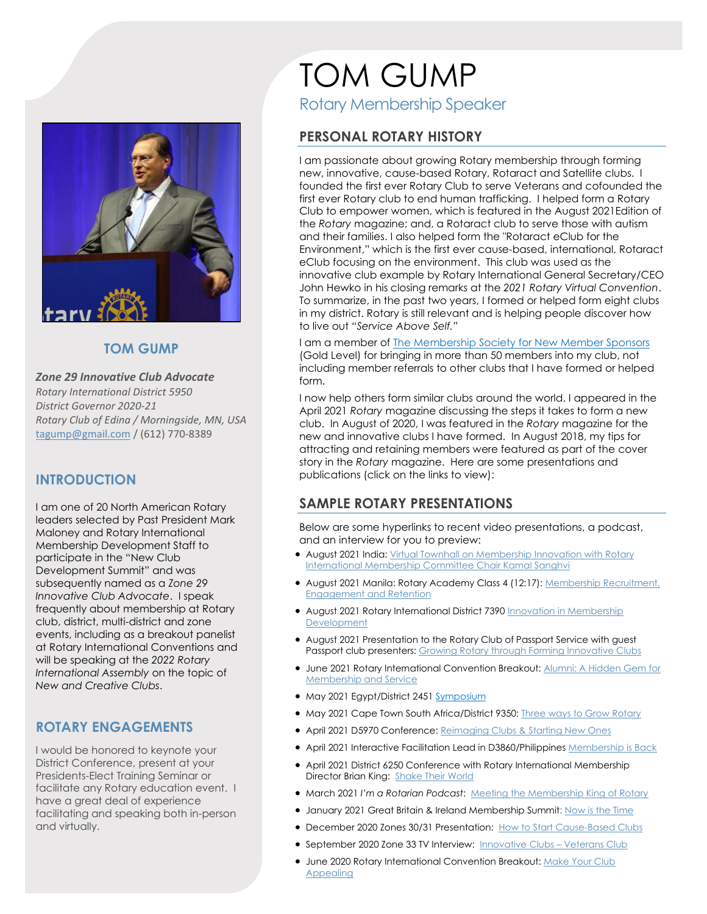

#### **TOM GUMP**

*Zone 29 Innovative Club Advocate Rotary International District 5950 District Governor 2020-21 Rotary Club of Edina / Morningside, MN, USA* tagump@gmail.com / (612) 770-8389

### **INTRODUCTION**

I am one of 20 North American Rotary leaders selected by Past President Mark Maloney and Rotary International Membership Development Staff to participate in the "New Club Development Summit" and was subsequently named as a *Zone 29 Innovative Club Advocate*. I speak frequently about membership at Rotary club, district, multi-district and zone events, including as a breakout panelist at Rotary International Conventions and will be speaking at the *2022 Rotary International Assembly* on the topic of *New and Creative Clubs*.

### **ROTARY ENGAGEMENTS**

I would be honored to keynote your District Conference, present at your Presidents-Elect Training Seminar or facilitate any Rotary education event. I have a great deal of experience facilitating and speaking both in-person and virtually.

# TOM GUMP Rotary Membership Speaker

## **PERSONAL ROTARY HISTORY**

I am passionate about growing Rotary membership through forming new, innovative, cause-based Rotary, Rotaract and Satellite clubs. I founded the first ever Rotary Club to serve Veterans and cofounded the first ever Rotary club to end human trafficking. I helped form a Rotary Club to empower women, which is featured in the August 2021Edition of the *Rotary* magazine; and, a Rotaract club to serve those with autism and their families. I also helped form the "Rotaract eClub for the Environment," which is the first ever cause-based, international, Rotaract eClub focusing on the environment. This club was used as the innovative club example by Rotary International General Secretary/CEO John Hewko in his closing remarks at the *2021 Rotary Virtual Convention*. To summarize, in the past two years, I formed or helped form eight clubs in my district. Rotary is still relevant and is helping people discover how to live out *"Service Above Self."*

I am a member of The Membership Society for New Member Sponsors (Gold Level) for bringing in more than 50 members into my club, not including member referrals to other clubs that I have formed or helped form.

I now help others form similar clubs around the world. I appeared in the April 2021 *Rotary* magazine discussing the steps it takes to form a new club. In August of 2020, I was featured in the *Rotary* magazine for the new and innovative clubs I have formed. In August 2018, my tips for attracting and retaining members were featured as part of the cover story in the *Rotary* magazine. Here are some presentations and publications (click on the links to view):

## **SAMPLE ROTARY PRESENTATIONS**

Below are some hyperlinks to recent video presentations, a podcast, and an interview for you to preview:

- August 2021 India: Virtual Townhall on Membership Innovation with Rotary International Membership Committee Chair Kamal Sanghvi
- August 2021 Manila: Rotary Academy Class 4 (12:17): Membership Recruitment, Engagement and Retention
- August 2021 Rotary International District 7390 Innovation in Membership **Development**
- August 2021 Presentation to the Rotary Club of Passport Service with guest Passport club presenters: Growing Rotary through Forming Innovative Clubs
- June 2021 Rotary International Convention Breakout: Alumni: A Hidden Gem for Membership and Service
- May 2021 Egypt/District 2451 Symposium
- May 2021 Cape Town South Africa/District 9350: Three ways to Grow Rotary
- April 2021 D5970 Conference: Reimaging Clubs & Starting New Ones
- April 2021 Interactive Facilitation Lead in D3860/Philippines Membership is Back
- April 2021 District 6250 Conference with Rotary International Membership Director Brian King: Shake Their World
- **March 2021 I'm a Rotarian Podcast:** Meeting the Membership King of Rotary
- January 2021 Great Britain & Ireland Membership Summit: Now is the Time
- December 2020 Zones 30/31 Presentation: How to Start Cause-Based Clubs
- September 2020 Zone 33 TV Interview: Innovative Clubs Veterans Club
- June 2020 Rotary International Convention Breakout: Make Your Club **Appealing**